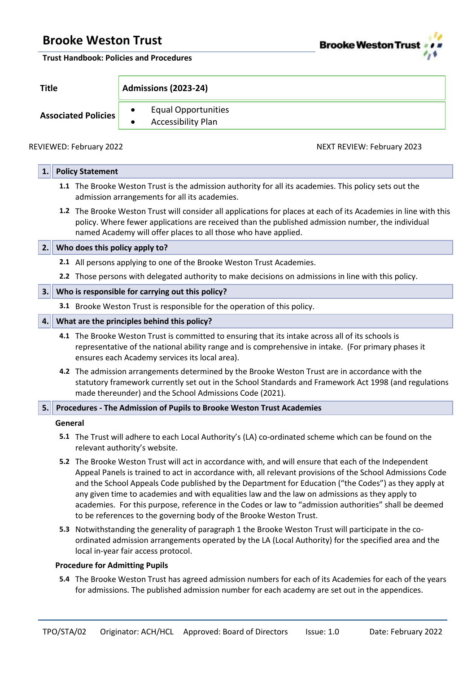

**Trust Handbook: Policies and Procedures**

**Title Admissions (2023-24)**

**Associated Policies** • Equal Opportunities • Accessibility Plan

REVIEWED: February 2022 2003 and the US of the Second MEXT REVIEW: February 2023

| 1. | <b>Policy Statement</b>                                               |                                                                                                                                                                                                                                                                                                                                                                                                                                                                                                                                                                                                             |  |  |  |  |
|----|-----------------------------------------------------------------------|-------------------------------------------------------------------------------------------------------------------------------------------------------------------------------------------------------------------------------------------------------------------------------------------------------------------------------------------------------------------------------------------------------------------------------------------------------------------------------------------------------------------------------------------------------------------------------------------------------------|--|--|--|--|
|    |                                                                       | 1.1 The Brooke Weston Trust is the admission authority for all its academies. This policy sets out the<br>admission arrangements for all its academies.                                                                                                                                                                                                                                                                                                                                                                                                                                                     |  |  |  |  |
|    |                                                                       | 1.2 The Brooke Weston Trust will consider all applications for places at each of its Academies in line with this<br>policy. Where fewer applications are received than the published admission number, the individual<br>named Academy will offer places to all those who have applied.                                                                                                                                                                                                                                                                                                                     |  |  |  |  |
| 2. |                                                                       | Who does this policy apply to?                                                                                                                                                                                                                                                                                                                                                                                                                                                                                                                                                                              |  |  |  |  |
|    |                                                                       | 2.1 All persons applying to one of the Brooke Weston Trust Academies.                                                                                                                                                                                                                                                                                                                                                                                                                                                                                                                                       |  |  |  |  |
|    |                                                                       | 2.2 Those persons with delegated authority to make decisions on admissions in line with this policy.                                                                                                                                                                                                                                                                                                                                                                                                                                                                                                        |  |  |  |  |
| 3. |                                                                       | Who is responsible for carrying out this policy?                                                                                                                                                                                                                                                                                                                                                                                                                                                                                                                                                            |  |  |  |  |
|    |                                                                       | 3.1 Brooke Weston Trust is responsible for the operation of this policy.                                                                                                                                                                                                                                                                                                                                                                                                                                                                                                                                    |  |  |  |  |
| 4. |                                                                       | What are the principles behind this policy?                                                                                                                                                                                                                                                                                                                                                                                                                                                                                                                                                                 |  |  |  |  |
|    |                                                                       | 4.1 The Brooke Weston Trust is committed to ensuring that its intake across all of its schools is<br>representative of the national ability range and is comprehensive in intake. (For primary phases it<br>ensures each Academy services its local area).                                                                                                                                                                                                                                                                                                                                                  |  |  |  |  |
|    |                                                                       | 4.2 The admission arrangements determined by the Brooke Weston Trust are in accordance with the<br>statutory framework currently set out in the School Standards and Framework Act 1998 (and regulations<br>made thereunder) and the School Admissions Code (2021).                                                                                                                                                                                                                                                                                                                                         |  |  |  |  |
| 5. | Procedures - The Admission of Pupils to Brooke Weston Trust Academies |                                                                                                                                                                                                                                                                                                                                                                                                                                                                                                                                                                                                             |  |  |  |  |
|    | General                                                               |                                                                                                                                                                                                                                                                                                                                                                                                                                                                                                                                                                                                             |  |  |  |  |
|    |                                                                       | 5.1 The Trust will adhere to each Local Authority's (LA) co-ordinated scheme which can be found on the<br>relevant authority's website.                                                                                                                                                                                                                                                                                                                                                                                                                                                                     |  |  |  |  |
|    |                                                                       | 5.2 The Brooke Weston Trust will act in accordance with, and will ensure that each of the Independent<br>Appeal Panels is trained to act in accordance with, all relevant provisions of the School Admissions Code<br>and the School Appeals Code published by the Department for Education ("the Codes") as they apply at<br>any given time to academies and with equalities law and the law on admissions as they apply to<br>academies. For this purpose, reference in the Codes or law to "admission authorities" shall be deemed<br>to be references to the governing body of the Brooke Weston Trust. |  |  |  |  |
|    |                                                                       | 5.3 Notwithstanding the generality of paragraph 1 the Brooke Weston Trust will participate in the co-<br>ordinated admission arrangements operated by the LA (Local Authority) for the specified area and the<br>local in-year fair access protocol.                                                                                                                                                                                                                                                                                                                                                        |  |  |  |  |
|    | <b>Procedure for Admitting Pupils</b>                                 |                                                                                                                                                                                                                                                                                                                                                                                                                                                                                                                                                                                                             |  |  |  |  |
|    |                                                                       | 5.4 The Brooke Weston Trust has agreed admission numbers for each of its Academies for each of the years<br>for admissions. The published admission number for each academy are set out in the appendices.                                                                                                                                                                                                                                                                                                                                                                                                  |  |  |  |  |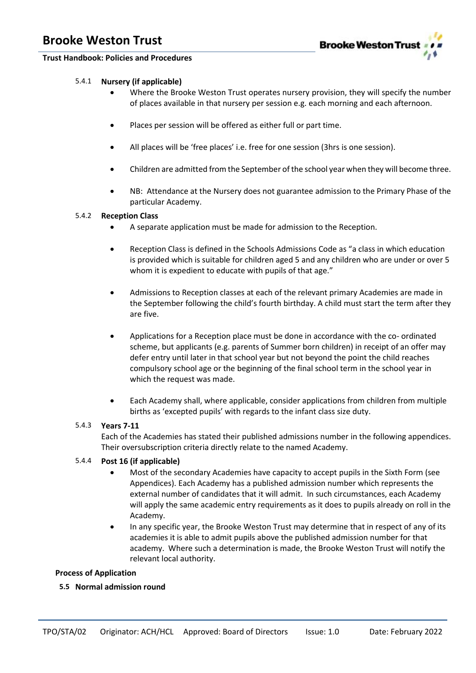

- 5.4.1 **Nursery (if applicable)**
	- Where the Brooke Weston Trust operates nursery provision, they will specify the number of places available in that nursery per session e.g. each morning and each afternoon.
	- Places per session will be offered as either full or part time.
	- All places will be 'free places' i.e. free for one session (3hrs is one session).
	- Children are admitted from the September of the school year when they will become three.
	- NB: Attendance at the Nursery does not guarantee admission to the Primary Phase of the particular Academy.

### 5.4.2 **Reception Class**

- A separate application must be made for admission to the Reception.
- Reception Class is defined in the Schools Admissions Code as "a class in which education is provided which is suitable for children aged 5 and any children who are under or over 5 whom it is expedient to educate with pupils of that age."
- Admissions to Reception classes at each of the relevant primary Academies are made in the September following the child's fourth birthday. A child must start the term after they are five.
- Applications for a Reception place must be done in accordance with the co- ordinated scheme, but applicants (e.g. parents of Summer born children) in receipt of an offer may defer entry until later in that school year but not beyond the point the child reaches compulsory school age or the beginning of the final school term in the school year in which the request was made.
- Each Academy shall, where applicable, consider applications from children from multiple births as 'excepted pupils' with regards to the infant class size duty.

### 5.4.3 **Years 7-11**

Each of the Academies has stated their published admissions number in the following appendices. Their oversubscription criteria directly relate to the named Academy.

### 5.4.4 **Post 16 (if applicable)**

- Most of the secondary Academies have capacity to accept pupils in the Sixth Form (see Appendices). Each Academy has a published admission number which represents the external number of candidates that it will admit. In such circumstances, each Academy will apply the same academic entry requirements as it does to pupils already on roll in the Academy.
- In any specific year, the Brooke Weston Trust may determine that in respect of any of its academies it is able to admit pupils above the published admission number for that academy. Where such a determination is made, the Brooke Weston Trust will notify the relevant local authority.

### **Process of Application**

### **5.5 Normal admission round**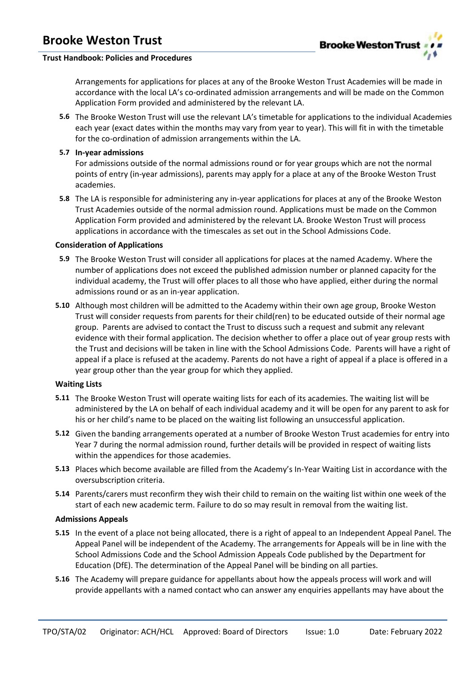

Arrangements for applications for places at any of the Brooke Weston Trust Academies will be made in accordance with the local LA's co-ordinated admission arrangements and will be made on the Common Application Form provided and administered by the relevant LA.

**5.6** The Brooke Weston Trust will use the relevant LA's timetable for applications to the individual Academies each year (exact dates within the months may vary from year to year). This will fit in with the timetable for the co-ordination of admission arrangements within the LA.

### **5.7 In-year admissions**

For admissions outside of the normal admissions round or for year groups which are not the normal points of entry (in-year admissions), parents may apply for a place at any of the Brooke Weston Trust academies.

**5.8** The LA is responsible for administering any in-year applications for places at any of the Brooke Weston Trust Academies outside of the normal admission round. Applications must be made on the Common Application Form provided and administered by the relevant LA. Brooke Weston Trust will process applications in accordance with the timescales as set out in the School Admissions Code.

### **Consideration of Applications**

- **5.9** The Brooke Weston Trust will consider all applications for places at the named Academy. Where the number of applications does not exceed the published admission number or planned capacity for the individual academy, the Trust will offer places to all those who have applied, either during the normal admissions round or as an in-year application.
- **5.10** Although most children will be admitted to the Academy within their own age group, Brooke Weston Trust will consider requests from parents for their child(ren) to be educated outside of their normal age group. Parents are advised to contact the Trust to discuss such a request and submit any relevant evidence with their formal application. The decision whether to offer a place out of year group rests with the Trust and decisions will be taken in line with the School Admissions Code. Parents will have a right of appeal if a place is refused at the academy. Parents do not have a right of appeal if a place is offered in a year group other than the year group for which they applied.

### **Waiting Lists**

- **5.11** The Brooke Weston Trust will operate waiting lists for each of its academies. The waiting list will be administered by the LA on behalf of each individual academy and it will be open for any parent to ask for his or her child's name to be placed on the waiting list following an unsuccessful application.
- **5.12** Given the banding arrangements operated at a number of Brooke Weston Trust academies for entry into Year 7 during the normal admission round, further details will be provided in respect of waiting lists within the appendices for those academies.
- **5.13** Places which become available are filled from the Academy's In-Year Waiting List in accordance with the oversubscription criteria.
- **5.14** Parents/carers must reconfirm they wish their child to remain on the waiting list within one week of the start of each new academic term. Failure to do so may result in removal from the waiting list.

### **Admissions Appeals**

- **5.15** In the event of a place not being allocated, there is a right of appeal to an Independent Appeal Panel. The Appeal Panel will be independent of the Academy. The arrangements for Appeals will be in line with the School Admissions Code and the School Admission Appeals Code published by the Department for Education (DfE). The determination of the Appeal Panel will be binding on all parties.
- **5.16** The Academy will prepare guidance for appellants about how the appeals process will work and will provide appellants with a named contact who can answer any enquiries appellants may have about the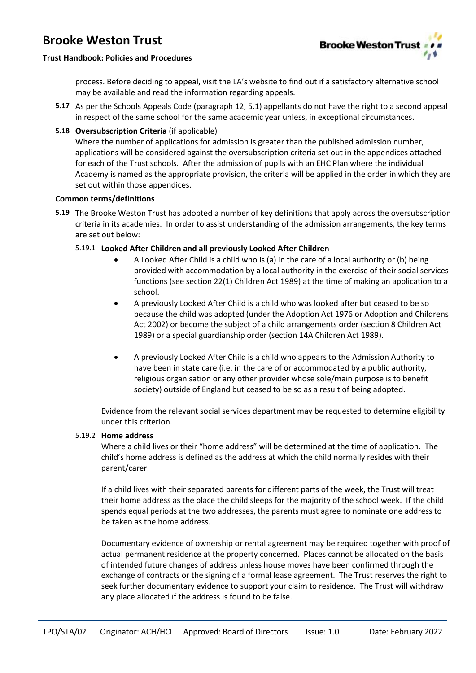

### **Trust Handbook: Policies and Procedures**

process. Before deciding to appeal, visit the LA's website to find out if a satisfactory alternative school may be available and read the information regarding appeals.

- **5.17** As per the Schools Appeals Code (paragraph 12, 5.1) appellants do not have the right to a second appeal in respect of the same school for the same academic year unless, in exceptional circumstances.
- **5.18 Oversubscription Criteria** (if applicable)

Where the number of applications for admission is greater than the published admission number, applications will be considered against the oversubscription criteria set out in the appendices attached for each of the Trust schools. After the admission of pupils with an EHC Plan where the individual Academy is named as the appropriate provision, the criteria will be applied in the order in which they are set out within those appendices.

### **Common terms/definitions**

**5.19** The Brooke Weston Trust has adopted a number of key definitions that apply across the oversubscription criteria in its academies. In order to assist understanding of the admission arrangements, the key terms are set out below:

### 5.19.1 **Looked After Children and all previously Looked After Children**

- A Looked After Child is a child who is (a) in the care of a local authority or (b) being provided with accommodation by a local authority in the exercise of their social services functions (see section 22(1) Children Act 1989) at the time of making an application to a school.
- A previously Looked After Child is a child who was looked after but ceased to be so because the child was adopted (under the Adoption Act 1976 or Adoption and Childrens Act 2002) or become the subject of a child arrangements order (section 8 Children Act 1989) or a special guardianship order (section 14A Children Act 1989).
- A previously Looked After Child is a child who appears to the Admission Authority to have been in state care (i.e. in the care of or accommodated by a public authority, religious organisation or any other provider whose sole/main purpose is to benefit society) outside of England but ceased to be so as a result of being adopted.

Evidence from the relevant social services department may be requested to determine eligibility under this criterion.

### 5.19.2 **Home address**

Where a child lives or their "home address" will be determined at the time of application. The child's home address is defined as the address at which the child normally resides with their parent/carer.

If a child lives with their separated parents for different parts of the week, the Trust will treat their home address as the place the child sleeps for the majority of the school week. If the child spends equal periods at the two addresses, the parents must agree to nominate one address to be taken as the home address.

Documentary evidence of ownership or rental agreement may be required together with proof of actual permanent residence at the property concerned. Places cannot be allocated on the basis of intended future changes of address unless house moves have been confirmed through the exchange of contracts or the signing of a formal lease agreement. The Trust reserves the right to seek further documentary evidence to support your claim to residence. The Trust will withdraw any place allocated if the address is found to be false.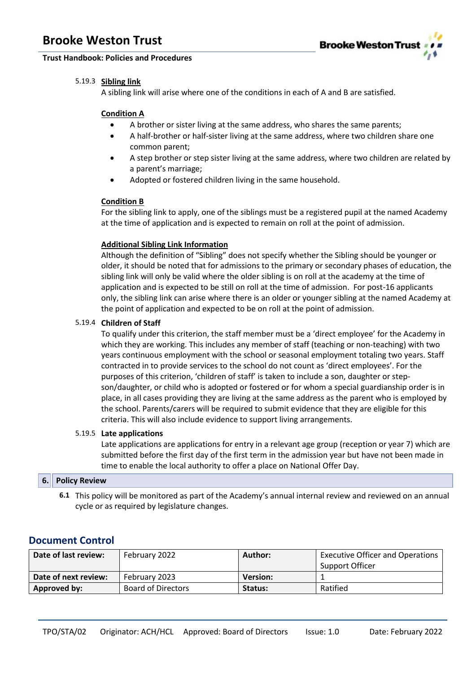

### 5.19.3 **Sibling link**

A sibling link will arise where one of the conditions in each of A and B are satisfied.

### **Condition A**

- A brother or sister living at the same address, who shares the same parents;
- A half-brother or half-sister living at the same address, where two children share one common parent;
- A step brother or step sister living at the same address, where two children are related by a parent's marriage;
- Adopted or fostered children living in the same household.

### **Condition B**

For the sibling link to apply, one of the siblings must be a registered pupil at the named Academy at the time of application and is expected to remain on roll at the point of admission.

### **Additional Sibling Link Information**

Although the definition of "Sibling" does not specify whether the Sibling should be younger or older, it should be noted that for admissions to the primary or secondary phases of education, the sibling link will only be valid where the older sibling is on roll at the academy at the time of application and is expected to be still on roll at the time of admission. For post-16 applicants only, the sibling link can arise where there is an older or younger sibling at the named Academy at the point of application and expected to be on roll at the point of admission.

### 5.19.4 **Children of Staff**

To qualify under this criterion, the staff member must be a 'direct employee' for the Academy in which they are working. This includes any member of staff (teaching or non-teaching) with two years continuous employment with the school or seasonal employment totaling two years. Staff contracted in to provide services to the school do not count as 'direct employees'. For the purposes of this criterion, 'children of staff' is taken to include a son, daughter or stepson/daughter, or child who is adopted or fostered or for whom a special guardianship order is in place, in all cases providing they are living at the same address as the parent who is employed by the school. Parents/carers will be required to submit evidence that they are eligible for this criteria. This will also include evidence to support living arrangements.

### 5.19.5 **Late applications**

Late applications are applications for entry in a relevant age group (reception or year 7) which are submitted before the first day of the first term in the admission year but have not been made in time to enable the local authority to offer a place on National Offer Day.

### **6. Policy Review**

**6.1** This policy will be monitored as part of the Academy's annual internal review and reviewed on an annual cycle or as required by legislature changes.

### **Document Control**

| Date of last review: | February 2022             | Author:         | <b>Executive Officer and Operations</b> |
|----------------------|---------------------------|-----------------|-----------------------------------------|
|                      |                           |                 | Support Officer                         |
| Date of next review: | February 2023             | <b>Version:</b> |                                         |
| Approved by:         | <b>Board of Directors</b> | Status:         | Ratified                                |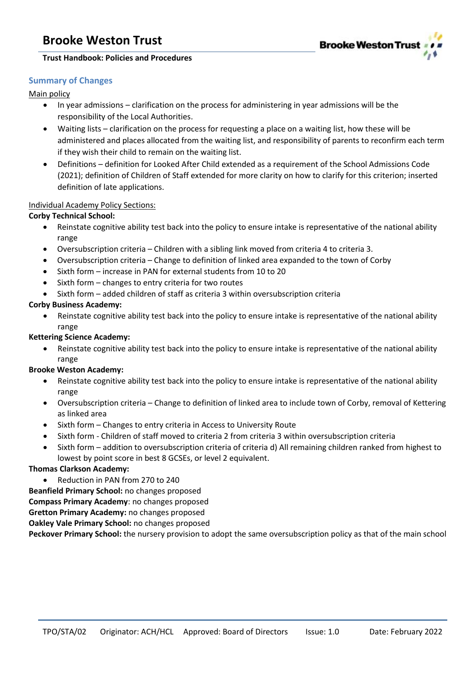



### **Summary of Changes**

Main policy

- In year admissions clarification on the process for administering in year admissions will be the responsibility of the Local Authorities.
- Waiting lists clarification on the process for requesting a place on a waiting list, how these will be administered and places allocated from the waiting list, and responsibility of parents to reconfirm each term if they wish their child to remain on the waiting list.
- Definitions definition for Looked After Child extended as a requirement of the School Admissions Code (2021); definition of Children of Staff extended for more clarity on how to clarify for this criterion; inserted definition of late applications.

### Individual Academy Policy Sections:

### **Corby Technical School:**

- Reinstate cognitive ability test back into the policy to ensure intake is representative of the national ability range
- Oversubscription criteria Children with a sibling link moved from criteria 4 to criteria 3.
- Oversubscription criteria Change to definition of linked area expanded to the town of Corby
- Sixth form increase in PAN for external students from 10 to 20
- Sixth form changes to entry criteria for two routes
- Sixth form added children of staff as criteria 3 within oversubscription criteria

### **Corby Business Academy:**

• Reinstate cognitive ability test back into the policy to ensure intake is representative of the national ability range

### **Kettering Science Academy:**

• Reinstate cognitive ability test back into the policy to ensure intake is representative of the national ability range

### **Brooke Weston Academy:**

- Reinstate cognitive ability test back into the policy to ensure intake is representative of the national ability range
- Oversubscription criteria Change to definition of linked area to include town of Corby, removal of Kettering as linked area
- Sixth form Changes to entry criteria in Access to University Route
- Sixth form Children of staff moved to criteria 2 from criteria 3 within oversubscription criteria
- Sixth form addition to oversubscription criteria of criteria d) All remaining children ranked from highest to lowest by point score in best 8 GCSEs, or level 2 equivalent.

### **Thomas Clarkson Academy:**

• Reduction in PAN from 270 to 240

**Beanfield Primary School:** no changes proposed **Compass Primary Academy**: no changes proposed

**Gretton Primary Academy:** no changes proposed

**Oakley Vale Primary School:** no changes proposed

**Peckover Primary School:** the nursery provision to adopt the same oversubscription policy as that of the main school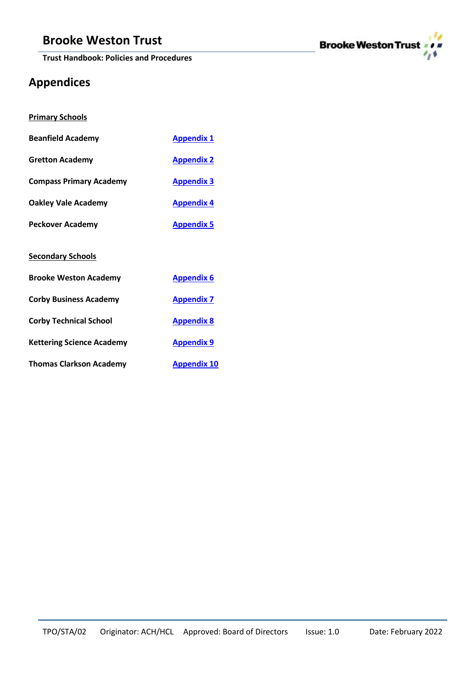**Trust Handbook: Policies and Procedures**



# **Appendices**

|  |  | <b>Primary Schools</b> |
|--|--|------------------------|
|--|--|------------------------|

| <b>Beanfield Academy</b>         | <b>Appendix 1</b> |
|----------------------------------|-------------------|
| <b>Gretton Academy</b>           | <b>Appendix 2</b> |
| <b>Compass Primary Academy</b>   | <b>Appendix 3</b> |
| Oakley Vale Academy              | <b>Appendix 4</b> |
| <b>Peckover Academy</b>          | <b>Appendix 5</b> |
| <b>Secondary Schools</b>         |                   |
| <b>Brooke Weston Academy</b>     | <b>Appendix 6</b> |
| <b>Corby Business Academy</b>    | <b>Appendix 7</b> |
| <b>Corby Technical School</b>    | <b>Appendix 8</b> |
| <b>Kettering Science Academy</b> | <b>Appendix 9</b> |

**Thomas Clarkson Academy [Appendix 10](#page-28-0)**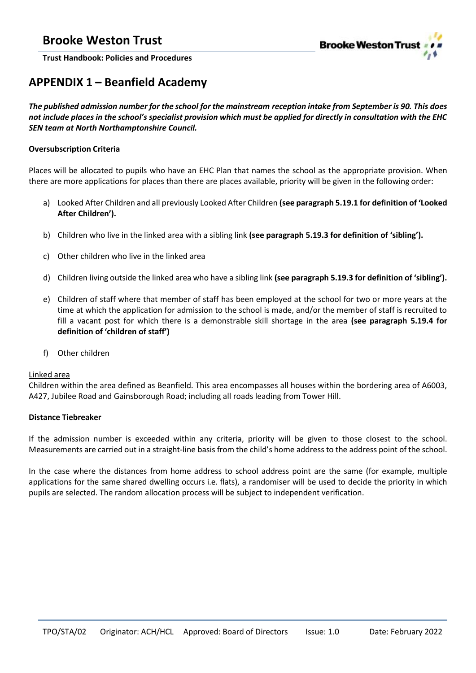

<span id="page-7-0"></span>**Trust Handbook: Policies and Procedures**

# **APPENDIX 1 – Beanfield Academy**

*The published admission number for the school for the mainstream reception intake from September is 90. This does not include places in the school's specialist provision which must be applied for directly in consultation with the EHC SEN team at North Northamptonshire Council.*

### **Oversubscription Criteria**

Places will be allocated to pupils who have an EHC Plan that names the school as the appropriate provision. When there are more applications for places than there are places available, priority will be given in the following order:

- a) Looked After Children and all previously Looked After Children **(see paragraph 5.19.1 for definition of 'Looked After Children').**
- b) Children who live in the linked area with a sibling link **(see paragraph 5.19.3 for definition of 'sibling').**
- c) Other children who live in the linked area
- d) Children living outside the linked area who have a sibling link **(see paragraph 5.19.3 for definition of 'sibling').**
- e) Children of staff where that member of staff has been employed at the school for two or more years at the time at which the application for admission to the school is made, and/or the member of staff is recruited to fill a vacant post for which there is a demonstrable skill shortage in the area **(see paragraph 5.19.4 for definition of 'children of staff')**
- f) Other children

### Linked area

Children within the area defined as Beanfield. This area encompasses all houses within the bordering area of A6003, A427, Jubilee Road and Gainsborough Road; including all roads leading from Tower Hill.

### **Distance Tiebreaker**

If the admission number is exceeded within any criteria, priority will be given to those closest to the school. Measurements are carried out in a straight-line basis from the child's home address to the address point of the school.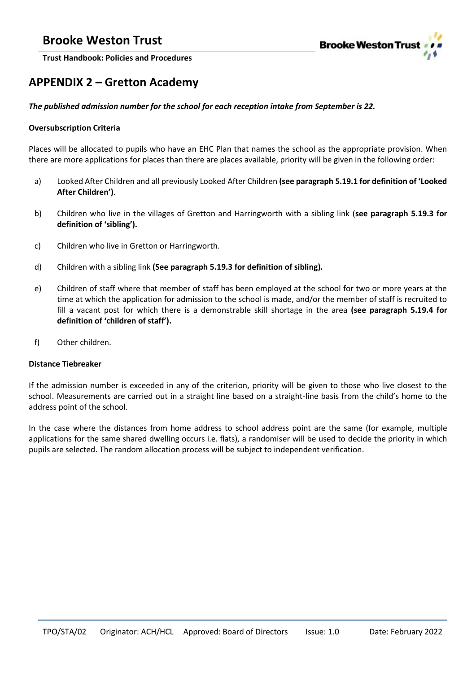

<span id="page-8-0"></span>**Trust Handbook: Policies and Procedures**

# **APPENDIX 2 – Gretton Academy**

### *The published admission number for the school for each reception intake from September is 22.*

### **Oversubscription Criteria**

Places will be allocated to pupils who have an EHC Plan that names the school as the appropriate provision. When there are more applications for places than there are places available, priority will be given in the following order:

- a) Looked After Children and all previously Looked After Children **(see paragraph 5.19.1 for definition of 'Looked After Children')**.
- b) Children who live in the villages of Gretton and Harringworth with a sibling link (**see paragraph 5.19.3 for definition of 'sibling').**
- c) Children who live in Gretton or Harringworth.
- d) Children with a sibling link **(See paragraph 5.19.3 for definition of sibling).**
- e) Children of staff where that member of staff has been employed at the school for two or more years at the time at which the application for admission to the school is made, and/or the member of staff is recruited to fill a vacant post for which there is a demonstrable skill shortage in the area **(see paragraph 5.19.4 for definition of 'children of staff').**
- f) Other children.

### **Distance Tiebreaker**

If the admission number is exceeded in any of the criterion, priority will be given to those who live closest to the school. Measurements are carried out in a straight line based on a straight-line basis from the child's home to the address point of the school.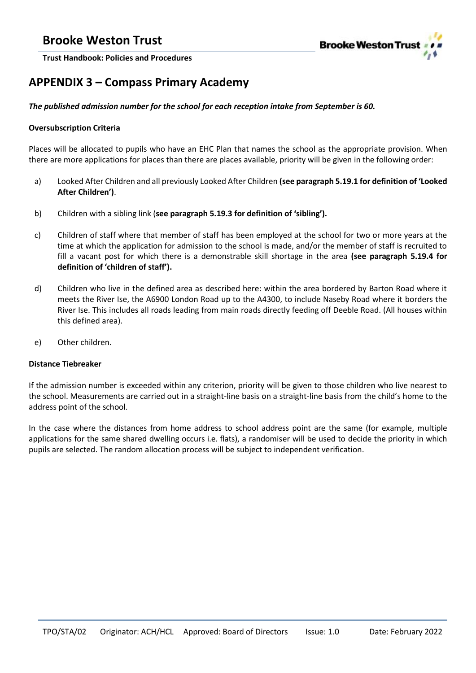

<span id="page-9-0"></span>**Trust Handbook: Policies and Procedures**

# **APPENDIX 3 – Compass Primary Academy**

### *The published admission number for the school for each reception intake from September is 60.*

### **Oversubscription Criteria**

Places will be allocated to pupils who have an EHC Plan that names the school as the appropriate provision. When there are more applications for places than there are places available, priority will be given in the following order:

- a) Looked After Children and all previously Looked After Children **(see paragraph 5.19.1 for definition of 'Looked After Children')**.
- b) Children with a sibling link (**see paragraph 5.19.3 for definition of 'sibling').**
- c) Children of staff where that member of staff has been employed at the school for two or more years at the time at which the application for admission to the school is made, and/or the member of staff is recruited to fill a vacant post for which there is a demonstrable skill shortage in the area **(see paragraph 5.19.4 for definition of 'children of staff').**
- d) Children who live in the defined area as described here: within the area bordered by Barton Road where it meets the River Ise, the A6900 London Road up to the A4300, to include Naseby Road where it borders the River Ise. This includes all roads leading from main roads directly feeding off Deeble Road. (All houses within this defined area).
- e) Other children.

### **Distance Tiebreaker**

If the admission number is exceeded within any criterion, priority will be given to those children who live nearest to the school. Measurements are carried out in a straight-line basis on a straight-line basis from the child's home to the address point of the school.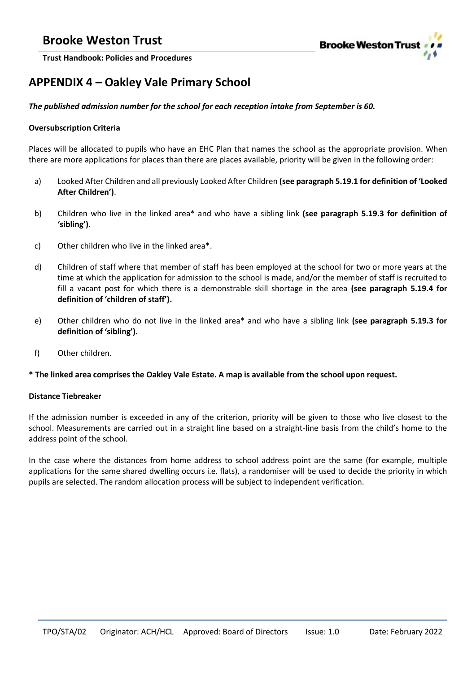

<span id="page-10-0"></span>**Trust Handbook: Policies and Procedures**

# **APPENDIX 4 – Oakley Vale Primary School**

### *The published admission number for the school for each reception intake from September is 60.*

### **Oversubscription Criteria**

Places will be allocated to pupils who have an EHC Plan that names the school as the appropriate provision. When there are more applications for places than there are places available, priority will be given in the following order:

- a) Looked After Children and all previously Looked After Children **(see paragraph 5.19.1 for definition of 'Looked After Children')**.
- b) Children who live in the linked area\* and who have a sibling link **(see paragraph 5.19.3 for definition of 'sibling')**.
- c) Other children who live in the linked area\*.
- d) Children of staff where that member of staff has been employed at the school for two or more years at the time at which the application for admission to the school is made, and/or the member of staff is recruited to fill a vacant post for which there is a demonstrable skill shortage in the area **(see paragraph 5.19.4 for definition of 'children of staff').**
- e) Other children who do not live in the linked area\* and who have a sibling link **(see paragraph 5.19.3 for definition of 'sibling').**
- f) Other children.

### **\* The linked area comprises the Oakley Vale Estate. A map is available from the school upon request.**

### **Distance Tiebreaker**

If the admission number is exceeded in any of the criterion, priority will be given to those who live closest to the school. Measurements are carried out in a straight line based on a straight-line basis from the child's home to the address point of the school.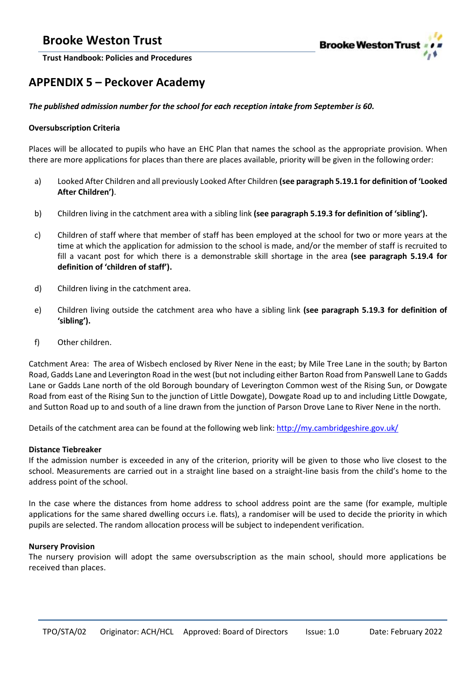

<span id="page-11-0"></span>**Trust Handbook: Policies and Procedures**

# **APPENDIX 5 – Peckover Academy**

### *The published admission number for the school for each reception intake from September is 60.*

### **Oversubscription Criteria**

Places will be allocated to pupils who have an EHC Plan that names the school as the appropriate provision. When there are more applications for places than there are places available, priority will be given in the following order:

- a) Looked After Children and all previously Looked After Children **(see paragraph 5.19.1 for definition of 'Looked After Children')**.
- b) Children living in the catchment area with a sibling link **(see paragraph 5.19.3 for definition of 'sibling').**
- c) Children of staff where that member of staff has been employed at the school for two or more years at the time at which the application for admission to the school is made, and/or the member of staff is recruited to fill a vacant post for which there is a demonstrable skill shortage in the area **(see paragraph 5.19.4 for definition of 'children of staff').**
- d) Children living in the catchment area.
- e) Children living outside the catchment area who have a sibling link **(see paragraph 5.19.3 for definition of 'sibling').**
- f) Other children.

Catchment Area: The area of Wisbech enclosed by River Nene in the east; by Mile Tree Lane in the south; by Barton Road, Gadds Lane and Leverington Road in the west (but not including either Barton Road from Panswell Lane to Gadds Lane or Gadds Lane north of the old Borough boundary of Leverington Common west of the Rising Sun, or Dowgate Road from east of the Rising Sun to the junction of Little Dowgate), Dowgate Road up to and including Little Dowgate, and Sutton Road up to and south of a line drawn from the junction of Parson Drove Lane to River Nene in the north.

Details of the catchment area can be found at the following web link:<http://my.cambridgeshire.gov.uk/>

### **Distance Tiebreaker**

If the admission number is exceeded in any of the criterion, priority will be given to those who live closest to the school. Measurements are carried out in a straight line based on a straight-line basis from the child's home to the address point of the school.

In the case where the distances from home address to school address point are the same (for example, multiple applications for the same shared dwelling occurs i.e. flats), a randomiser will be used to decide the priority in which pupils are selected. The random allocation process will be subject to independent verification.

### **Nursery Provision**

The nursery provision will adopt the same oversubscription as the main school, should more applications be received than places.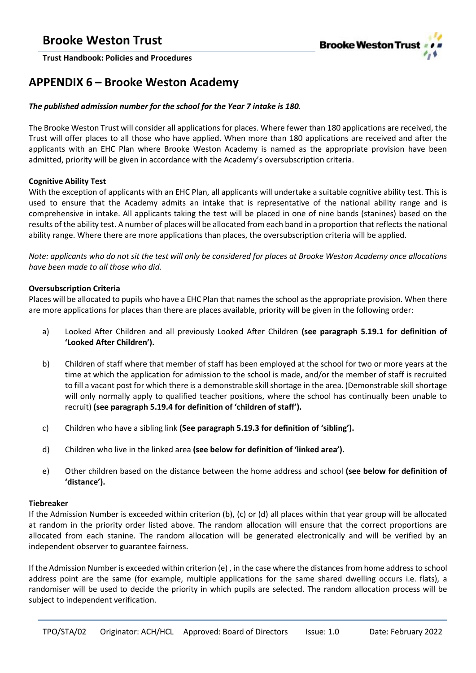

### <span id="page-12-0"></span>**APPENDIX 6 – Brooke Weston Academy**

### *The published admission number for the school for the Year 7 intake is 180.*

The Brooke Weston Trust will consider all applications for places. Where fewer than 180 applications are received, the Trust will offer places to all those who have applied. When more than 180 applications are received and after the applicants with an EHC Plan where Brooke Weston Academy is named as the appropriate provision have been admitted, priority will be given in accordance with the Academy's oversubscription criteria.

### **Cognitive Ability Test**

With the exception of applicants with an EHC Plan, all applicants will undertake a suitable cognitive ability test. This is used to ensure that the Academy admits an intake that is representative of the national ability range and is comprehensive in intake. All applicants taking the test will be placed in one of nine bands (stanines) based on the results of the ability test. A number of places will be allocated from each band in a proportion that reflects the national ability range. Where there are more applications than places, the oversubscription criteria will be applied.

*Note: applicants who do not sit the test will only be considered for places at Brooke Weston Academy once allocations have been made to all those who did.* 

### **Oversubscription Criteria**

Places will be allocated to pupils who have a EHC Plan that names the school as the appropriate provision. When there are more applications for places than there are places available, priority will be given in the following order:

- a) Looked After Children and all previously Looked After Children **(see paragraph 5.19.1 for definition of 'Looked After Children').**
- b) Children of staff where that member of staff has been employed at the school for two or more years at the time at which the application for admission to the school is made, and/or the member of staff is recruited to fill a vacant post for which there is a demonstrable skill shortage in the area. (Demonstrable skill shortage will only normally apply to qualified teacher positions, where the school has continually been unable to recruit) **(see paragraph 5.19.4 for definition of 'children of staff').**
- c) Children who have a sibling link **(See paragraph 5.19.3 for definition of 'sibling').**
- d) Children who live in the linked area **(see below for definition of 'linked area').**
- e) Other children based on the distance between the home address and school **(see below for definition of 'distance').**

### **Tiebreaker**

If the Admission Number is exceeded within criterion (b), (c) or (d) all places within that year group will be allocated at random in the priority order listed above. The random allocation will ensure that the correct proportions are allocated from each stanine. The random allocation will be generated electronically and will be verified by an independent observer to guarantee fairness.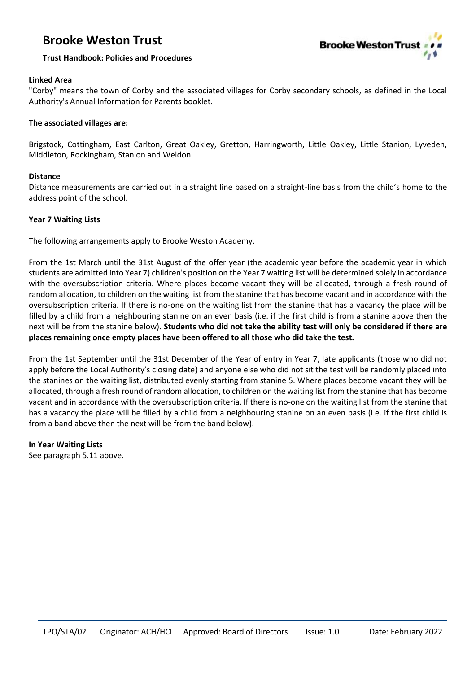

### **Trust Handbook: Policies and Procedures**

### **Linked Area**

"Corby" means the town of Corby and the associated villages for Corby secondary schools, as defined in the Local Authority's Annual Information for Parents booklet.

### **The associated villages are:**

Brigstock, Cottingham, East Carlton, Great Oakley, Gretton, Harringworth, Little Oakley, Little Stanion, Lyveden, Middleton, Rockingham, Stanion and Weldon.

### **Distance**

Distance measurements are carried out in a straight line based on a straight-line basis from the child's home to the address point of the school.

### **Year 7 Waiting Lists**

The following arrangements apply to Brooke Weston Academy.

From the 1st March until the 31st August of the offer year (the academic year before the academic year in which students are admitted into Year 7) children's position on the Year 7 waiting list will be determined solely in accordance with the oversubscription criteria. Where places become vacant they will be allocated, through a fresh round of random allocation, to children on the waiting list from the stanine that has become vacant and in accordance with the oversubscription criteria. If there is no-one on the waiting list from the stanine that has a vacancy the place will be filled by a child from a neighbouring stanine on an even basis (i.e. if the first child is from a stanine above then the next will be from the stanine below). **Students who did not take the ability test will only be considered if there are places remaining once empty places have been offered to all those who did take the test.**

From the 1st September until the 31st December of the Year of entry in Year 7, late applicants (those who did not apply before the Local Authority's closing date) and anyone else who did not sit the test will be randomly placed into the stanines on the waiting list, distributed evenly starting from stanine 5. Where places become vacant they will be allocated, through a fresh round of random allocation, to children on the waiting list from the stanine that has become vacant and in accordance with the oversubscription criteria. If there is no-one on the waiting list from the stanine that has a vacancy the place will be filled by a child from a neighbouring stanine on an even basis (i.e. if the first child is from a band above then the next will be from the band below).

### **In Year Waiting Lists**

See paragraph 5.11 above.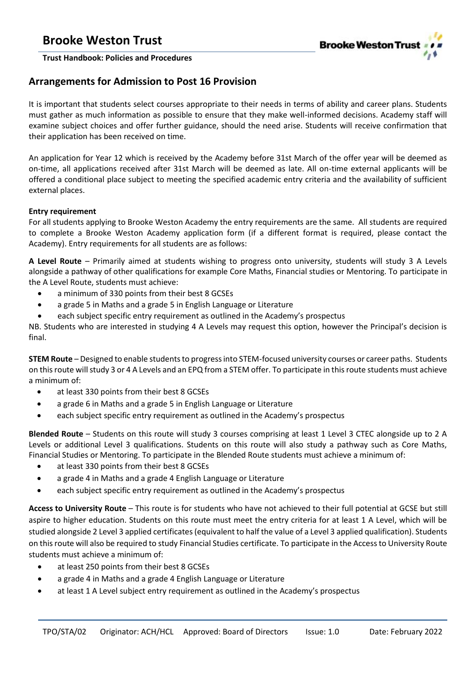

### **Arrangements for Admission to Post 16 Provision**

It is important that students select courses appropriate to their needs in terms of ability and career plans. Students must gather as much information as possible to ensure that they make well-informed decisions. Academy staff will examine subject choices and offer further guidance, should the need arise. Students will receive confirmation that their application has been received on time.

An application for Year 12 which is received by the Academy before 31st March of the offer year will be deemed as on-time, all applications received after 31st March will be deemed as late. All on-time external applicants will be offered a conditional place subject to meeting the specified academic entry criteria and the availability of sufficient external places.

### **Entry requirement**

For all students applying to Brooke Weston Academy the entry requirements are the same. All students are required to complete a Brooke Weston Academy application form (if a different format is required, please contact the Academy). Entry requirements for all students are as follows:

**A Level Route** – Primarily aimed at students wishing to progress onto university, students will study 3 A Levels alongside a pathway of other qualifications for example Core Maths, Financial studies or Mentoring. To participate in the A Level Route, students must achieve:

- a minimum of 330 points from their best 8 GCSEs
- a grade 5 in Maths and a grade 5 in English Language or Literature
- each subject specific entry requirement as outlined in the Academy's prospectus

NB. Students who are interested in studying 4 A Levels may request this option, however the Principal's decision is final.

**STEM Route** – Designed to enable students to progress into STEM-focused university courses or career paths. Students on this route will study 3 or 4 A Levels and an EPQ from a STEM offer. To participate in this route students must achieve a minimum of:

- at least 330 points from their best 8 GCSEs
- a grade 6 in Maths and a grade 5 in English Language or Literature
- each subject specific entry requirement as outlined in the Academy's prospectus

**Blended Route** – Students on this route will study 3 courses comprising at least 1 Level 3 CTEC alongside up to 2 A Levels or additional Level 3 qualifications. Students on this route will also study a pathway such as Core Maths, Financial Studies or Mentoring. To participate in the Blended Route students must achieve a minimum of:

- at least 330 points from their best 8 GCSEs
- a grade 4 in Maths and a grade 4 English Language or Literature
- each subject specific entry requirement as outlined in the Academy's prospectus

**Access to University Route** – This route is for students who have not achieved to their full potential at GCSE but still aspire to higher education. Students on this route must meet the entry criteria for at least 1 A Level, which will be studied alongside 2 Level 3 applied certificates (equivalent to half the value of a Level 3 applied qualification). Students on thisroute will also be required to study Financial Studies certificate. To participate in the Access to University Route students must achieve a minimum of:

- at least 250 points from their best 8 GCSEs
- a grade 4 in Maths and a grade 4 English Language or Literature
- at least 1 A Level subject entry requirement as outlined in the Academy's prospectus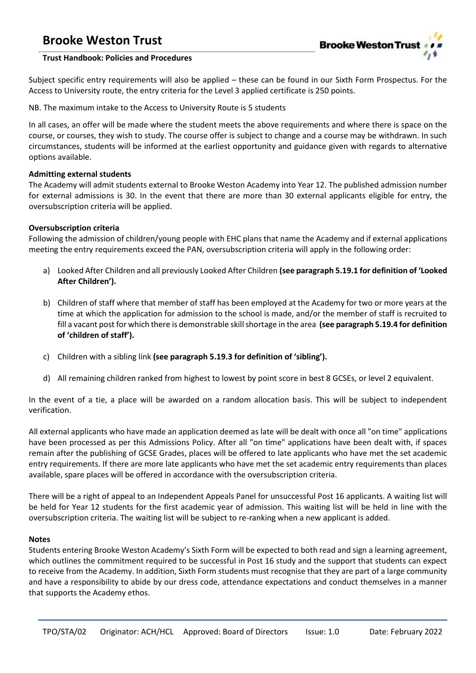

### **Trust Handbook: Policies and Procedures**

Subject specific entry requirements will also be applied – these can be found in our Sixth Form Prospectus. For the Access to University route, the entry criteria for the Level 3 applied certificate is 250 points.

NB. The maximum intake to the Access to University Route is 5 students

In all cases, an offer will be made where the student meets the above requirements and where there is space on the course, or courses, they wish to study. The course offer is subject to change and a course may be withdrawn. In such circumstances, students will be informed at the earliest opportunity and guidance given with regards to alternative options available.

### **Admitting external students**

The Academy will admit students external to Brooke Weston Academy into Year 12. The published admission number for external admissions is 30. In the event that there are more than 30 external applicants eligible for entry, the oversubscription criteria will be applied.

### **Oversubscription criteria**

Following the admission of children/young people with EHC plans that name the Academy and if external applications meeting the entry requirements exceed the PAN, oversubscription criteria will apply in the following order:

- a) Looked After Children and all previously Looked After Children **(see paragraph 5.19.1 for definition of 'Looked After Children').**
- b) Children of staff where that member of staff has been employed at the Academy for two or more years at the time at which the application for admission to the school is made, and/or the member of staff is recruited to fill a vacant post for which there is demonstrable skill shortage in the area **(see paragraph 5.19.4 for definition of 'children of staff').**
- c) Children with a sibling link **(see paragraph 5.19.3 for definition of 'sibling').**
- d) All remaining children ranked from highest to lowest by point score in best 8 GCSEs, or level 2 equivalent.

In the event of a tie, a place will be awarded on a random allocation basis. This will be subject to independent verification.

All external applicants who have made an application deemed as late will be dealt with once all "on time" applications have been processed as per this Admissions Policy. After all "on time" applications have been dealt with, if spaces remain after the publishing of GCSE Grades, places will be offered to late applicants who have met the set academic entry requirements. If there are more late applicants who have met the set academic entry requirements than places available, spare places will be offered in accordance with the oversubscription criteria.

There will be a right of appeal to an Independent Appeals Panel for unsuccessful Post 16 applicants. A waiting list will be held for Year 12 students for the first academic year of admission. This waiting list will be held in line with the oversubscription criteria. The waiting list will be subject to re-ranking when a new applicant is added.

### **Notes**

Students entering Brooke Weston Academy's Sixth Form will be expected to both read and sign a learning agreement, which outlines the commitment required to be successful in Post 16 study and the support that students can expect to receive from the Academy. In addition, Sixth Form students must recognise that they are part of a large community and have a responsibility to abide by our dress code, attendance expectations and conduct themselves in a manner that supports the Academy ethos.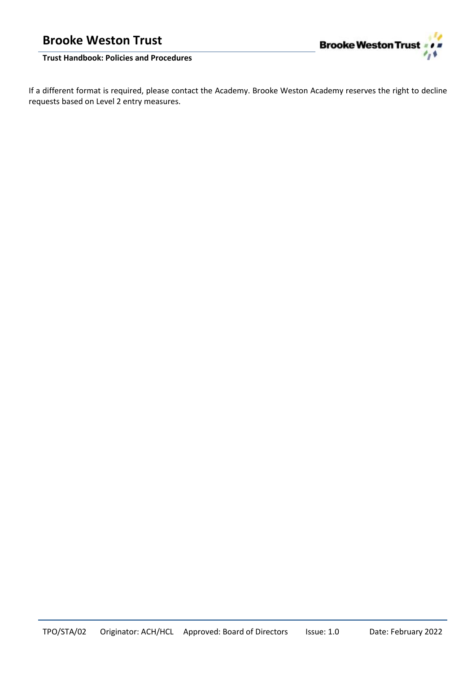

If a different format is required, please contact the Academy. Brooke Weston Academy reserves the right to decline requests based on Level 2 entry measures.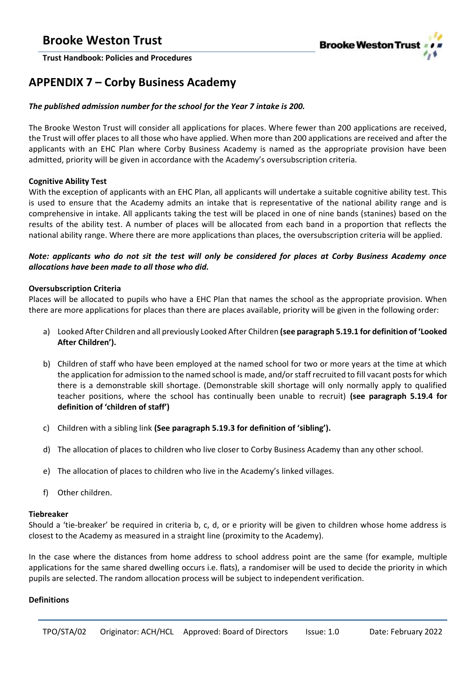

### <span id="page-17-0"></span>**APPENDIX 7 – Corby Business Academy**

### *The published admission number for the school for the Year 7 intake is 200.*

The Brooke Weston Trust will consider all applications for places. Where fewer than 200 applications are received, the Trust will offer places to all those who have applied. When more than 200 applications are received and after the applicants with an EHC Plan where Corby Business Academy is named as the appropriate provision have been admitted, priority will be given in accordance with the Academy's oversubscription criteria.

### **Cognitive Ability Test**

With the exception of applicants with an EHC Plan, all applicants will undertake a suitable cognitive ability test. This is used to ensure that the Academy admits an intake that is representative of the national ability range and is comprehensive in intake. All applicants taking the test will be placed in one of nine bands (stanines) based on the results of the ability test. A number of places will be allocated from each band in a proportion that reflects the national ability range. Where there are more applications than places, the oversubscription criteria will be applied.

### *Note: applicants who do not sit the test will only be considered for places at Corby Business Academy once allocations have been made to all those who did.*

### **Oversubscription Criteria**

Places will be allocated to pupils who have a EHC Plan that names the school as the appropriate provision. When there are more applications for places than there are places available, priority will be given in the following order:

- a) Looked After Children and all previously Looked After Children **(see paragraph 5.19.1 for definition of 'Looked After Children').**
- b) Children of staff who have been employed at the named school for two or more years at the time at which the application for admission to the named school is made, and/or staff recruited to fill vacant posts for which there is a demonstrable skill shortage. (Demonstrable skill shortage will only normally apply to qualified teacher positions, where the school has continually been unable to recruit) **(see paragraph 5.19.4 for definition of 'children of staff')**
- c) Children with a sibling link **(See paragraph 5.19.3 for definition of 'sibling').**
- d) The allocation of places to children who live closer to Corby Business Academy than any other school.
- e) The allocation of places to children who live in the Academy's linked villages.
- f) Other children.

### **Tiebreaker**

Should a 'tie-breaker' be required in criteria b, c, d, or e priority will be given to children whose home address is closest to the Academy as measured in a straight line (proximity to the Academy).

In the case where the distances from home address to school address point are the same (for example, multiple applications for the same shared dwelling occurs i.e. flats), a randomiser will be used to decide the priority in which pupils are selected. The random allocation process will be subject to independent verification.

### **Definitions**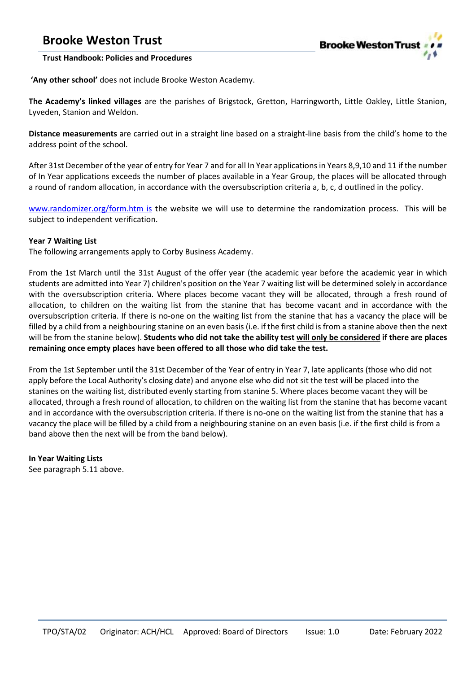

### **Trust Handbook: Policies and Procedures**

**'Any other school'** does not include Brooke Weston Academy.

**The Academy's linked villages** are the parishes of Brigstock, Gretton, Harringworth, Little Oakley, Little Stanion, Lyveden, Stanion and Weldon.

**Distance measurements** are carried out in a straight line based on a straight-line basis from the child's home to the address point of the school.

After 31st December of the year of entry for Year 7 and for all In Year applications in Years 8,9,10 and 11 if the number of In Year applications exceeds the number of places available in a Year Group, the places will be allocated through a round of random allocation, in accordance with the oversubscription criteria a, b, c, d outlined in the policy.

[www.randomizer.org/form.htm is](http://www.randomizer.org/form.htm) the website we will use to determine the randomization process. This will be subject to independent verification.

### **Year 7 Waiting List**

The following arrangements apply to Corby Business Academy.

From the 1st March until the 31st August of the offer year (the academic year before the academic year in which students are admitted into Year 7) children's position on the Year 7 waiting list will be determined solely in accordance with the oversubscription criteria. Where places become vacant they will be allocated, through a fresh round of allocation, to children on the waiting list from the stanine that has become vacant and in accordance with the oversubscription criteria. If there is no-one on the waiting list from the stanine that has a vacancy the place will be filled by a child from a neighbouring stanine on an even basis (i.e. if the first child is from a stanine above then the next will be from the stanine below). **Students who did not take the ability test will only be considered if there are places remaining once empty places have been offered to all those who did take the test.**

From the 1st September until the 31st December of the Year of entry in Year 7, late applicants (those who did not apply before the Local Authority's closing date) and anyone else who did not sit the test will be placed into the stanines on the waiting list, distributed evenly starting from stanine 5. Where places become vacant they will be allocated, through a fresh round of allocation, to children on the waiting list from the stanine that has become vacant and in accordance with the oversubscription criteria. If there is no-one on the waiting list from the stanine that has a vacancy the place will be filled by a child from a neighbouring stanine on an even basis (i.e. if the first child is from a band above then the next will be from the band below).

### **In Year Waiting Lists**

See paragraph 5.11 above.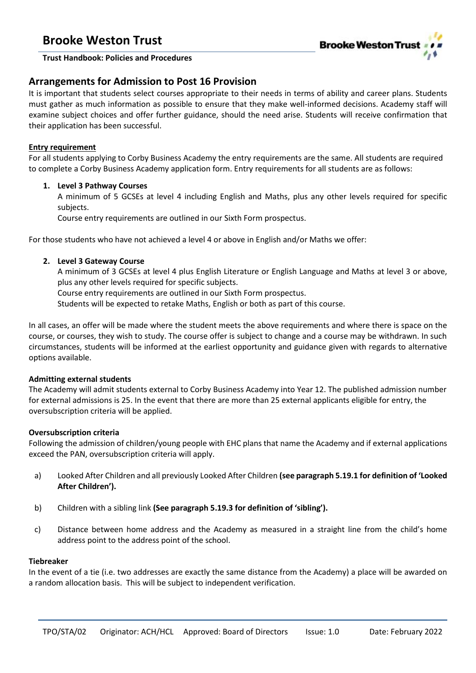

### **Trust Handbook: Policies and Procedures**

### **Arrangements for Admission to Post 16 Provision**

It is important that students select courses appropriate to their needs in terms of ability and career plans. Students must gather as much information as possible to ensure that they make well-informed decisions. Academy staff will examine subject choices and offer further guidance, should the need arise. Students will receive confirmation that their application has been successful.

### **Entry requirement**

For all students applying to Corby Business Academy the entry requirements are the same. All students are required to complete a Corby Business Academy application form. Entry requirements for all students are as follows:

### **1. Level 3 Pathway Courses**

A minimum of 5 GCSEs at level 4 including English and Maths, plus any other levels required for specific subjects.

Course entry requirements are outlined in our Sixth Form prospectus.

For those students who have not achieved a level 4 or above in English and/or Maths we offer:

### **2. Level 3 Gateway Course**

A minimum of 3 GCSEs at level 4 plus English Literature or English Language and Maths at level 3 or above, plus any other levels required for specific subjects.

Course entry requirements are outlined in our Sixth Form prospectus.

Students will be expected to retake Maths, English or both as part of this course.

In all cases, an offer will be made where the student meets the above requirements and where there is space on the course, or courses, they wish to study. The course offer is subject to change and a course may be withdrawn. In such circumstances, students will be informed at the earliest opportunity and guidance given with regards to alternative options available.

### **Admitting external students**

The Academy will admit students external to Corby Business Academy into Year 12. The published admission number for external admissions is 25. In the event that there are more than 25 external applicants eligible for entry, the oversubscription criteria will be applied.

### **Oversubscription criteria**

Following the admission of children/young people with EHC plans that name the Academy and if external applications exceed the PAN, oversubscription criteria will apply.

- a) Looked After Children and all previously Looked After Children **(see paragraph 5.19.1 for definition of 'Looked After Children').**
- b) Children with a sibling link **(See paragraph 5.19.3 for definition of 'sibling').**
- c) Distance between home address and the Academy as measured in a straight line from the child's home address point to the address point of the school.

### **Tiebreaker**

In the event of a tie (i.e. two addresses are exactly the same distance from the Academy) a place will be awarded on a random allocation basis. This will be subject to independent verification.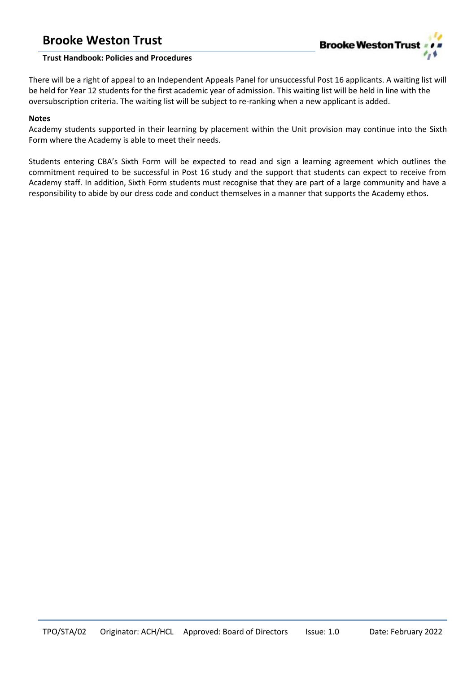

### **Trust Handbook: Policies and Procedures**

There will be a right of appeal to an Independent Appeals Panel for unsuccessful Post 16 applicants. A waiting list will be held for Year 12 students for the first academic year of admission. This waiting list will be held in line with the oversubscription criteria. The waiting list will be subject to re-ranking when a new applicant is added.

### **Notes**

Academy students supported in their learning by placement within the Unit provision may continue into the Sixth Form where the Academy is able to meet their needs.

Students entering CBA's Sixth Form will be expected to read and sign a learning agreement which outlines the commitment required to be successful in Post 16 study and the support that students can expect to receive from Academy staff. In addition, Sixth Form students must recognise that they are part of a large community and have a responsibility to abide by our dress code and conduct themselves in a manner that supports the Academy ethos.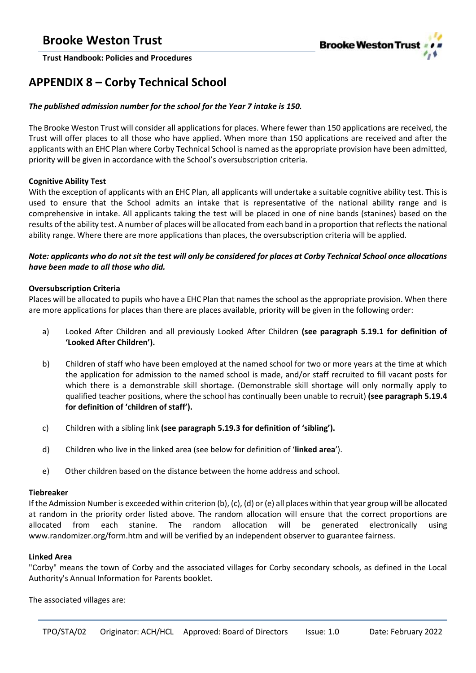

# <span id="page-21-0"></span>**APPENDIX 8 – Corby Technical School**

### *The published admission number for the school for the Year 7 intake is 150.*

The Brooke Weston Trust will consider all applications for places. Where fewer than 150 applications are received, the Trust will offer places to all those who have applied. When more than 150 applications are received and after the applicants with an EHC Plan where Corby Technical School is named as the appropriate provision have been admitted, priority will be given in accordance with the School's oversubscription criteria.

### **Cognitive Ability Test**

With the exception of applicants with an EHC Plan, all applicants will undertake a suitable cognitive ability test. This is used to ensure that the School admits an intake that is representative of the national ability range and is comprehensive in intake. All applicants taking the test will be placed in one of nine bands (stanines) based on the results of the ability test. A number of places will be allocated from each band in a proportion that reflects the national ability range. Where there are more applications than places, the oversubscription criteria will be applied.

### *Note: applicants who do not sit the test will only be considered for places at Corby Technical School once allocations have been made to all those who did.*

### **Oversubscription Criteria**

Places will be allocated to pupils who have a EHC Plan that names the school as the appropriate provision. When there are more applications for places than there are places available, priority will be given in the following order:

- a) Looked After Children and all previously Looked After Children **(see paragraph 5.19.1 for definition of 'Looked After Children').**
- b) Children of staff who have been employed at the named school for two or more years at the time at which the application for admission to the named school is made, and/or staff recruited to fill vacant posts for which there is a demonstrable skill shortage. (Demonstrable skill shortage will only normally apply to qualified teacher positions, where the school has continually been unable to recruit) **(see paragraph 5.19.4 for definition of 'children of staff').**
- c) Children with a sibling link **(see paragraph 5.19.3 for definition of 'sibling').**
- d) Children who live in the linked area (see below for definition of '**linked area**').
- e) Other children based on the distance between the home address and school.

### **Tiebreaker**

If the Admission Number is exceeded within criterion (b), (c), (d) or (e) all places within that year group will be allocated at random in the priority order listed above. The random allocation will ensure that the correct proportions are allocated from each stanine. The random allocation will be generated electronically using www.randomizer.org/form.htm and will be verified by an independent observer to guarantee fairness.

### **Linked Area**

"Corby" means the town of Corby and the associated villages for Corby secondary schools, as defined in the Local Authority's Annual Information for Parents booklet.

The associated villages are: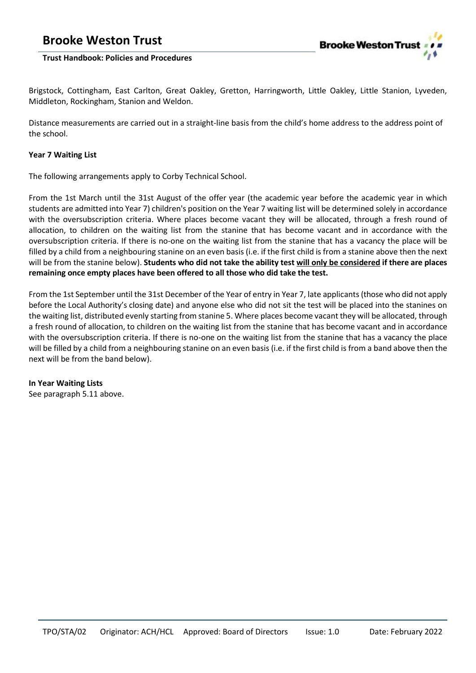

### **Trust Handbook: Policies and Procedures**

Brigstock, Cottingham, East Carlton, Great Oakley, Gretton, Harringworth, Little Oakley, Little Stanion, Lyveden, Middleton, Rockingham, Stanion and Weldon.

Distance measurements are carried out in a straight-line basis from the child's home address to the address point of the school.

### **Year 7 Waiting List**

The following arrangements apply to Corby Technical School.

From the 1st March until the 31st August of the offer year (the academic year before the academic year in which students are admitted into Year 7) children's position on the Year 7 waiting list will be determined solely in accordance with the oversubscription criteria. Where places become vacant they will be allocated, through a fresh round of allocation, to children on the waiting list from the stanine that has become vacant and in accordance with the oversubscription criteria. If there is no-one on the waiting list from the stanine that has a vacancy the place will be filled by a child from a neighbouring stanine on an even basis (i.e. if the first child is from a stanine above then the next will be from the stanine below). **Students who did not take the ability test will only be considered if there are places remaining once empty places have been offered to all those who did take the test.**

From the 1st September until the 31st December of the Year of entry in Year 7, late applicants(those who did not apply before the Local Authority's closing date) and anyone else who did not sit the test will be placed into the stanines on the waiting list, distributed evenly starting from stanine 5. Where places become vacant they will be allocated, through a fresh round of allocation, to children on the waiting list from the stanine that has become vacant and in accordance with the oversubscription criteria. If there is no-one on the waiting list from the stanine that has a vacancy the place will be filled by a child from a neighbouring stanine on an even basis (i.e. if the first child is from a band above then the next will be from the band below).

**In Year Waiting Lists** See paragraph 5.11 above.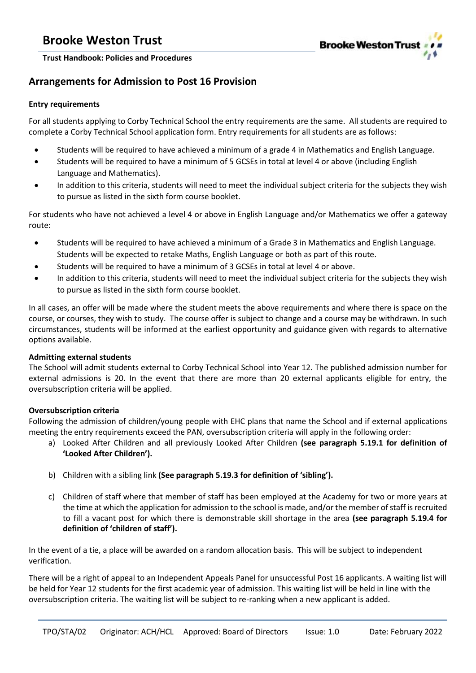

**Trust Handbook: Policies and Procedures**

### **Arrangements for Admission to Post 16 Provision**

### **Entry requirements**

For all students applying to Corby Technical School the entry requirements are the same. All students are required to complete a Corby Technical School application form. Entry requirements for all students are as follows:

- Students will be required to have achieved a minimum of a grade 4 in Mathematics and English Language.
- Students will be required to have a minimum of 5 GCSEs in total at level 4 or above (including English Language and Mathematics).
- In addition to this criteria, students will need to meet the individual subject criteria for the subjects they wish to pursue as listed in the sixth form course booklet.

For students who have not achieved a level 4 or above in English Language and/or Mathematics we offer a gateway route:

- Students will be required to have achieved a minimum of a Grade 3 in Mathematics and English Language. Students will be expected to retake Maths, English Language or both as part of this route.
- Students will be required to have a minimum of 3 GCSEs in total at level 4 or above.
- In addition to this criteria, students will need to meet the individual subject criteria for the subjects they wish to pursue as listed in the sixth form course booklet.

In all cases, an offer will be made where the student meets the above requirements and where there is space on the course, or courses, they wish to study. The course offer is subject to change and a course may be withdrawn. In such circumstances, students will be informed at the earliest opportunity and guidance given with regards to alternative options available.

### **Admitting external students**

The School will admit students external to Corby Technical School into Year 12. The published admission number for external admissions is 20. In the event that there are more than 20 external applicants eligible for entry, the oversubscription criteria will be applied.

### **Oversubscription criteria**

Following the admission of children/young people with EHC plans that name the School and if external applications meeting the entry requirements exceed the PAN, oversubscription criteria will apply in the following order:

- a) Looked After Children and all previously Looked After Children **(see paragraph 5.19.1 for definition of 'Looked After Children').**
- b) Children with a sibling link **(See paragraph 5.19.3 for definition of 'sibling').**
- c) Children of staff where that member of staff has been employed at the Academy for two or more years at the time at which the application for admission to the school is made, and/or the member of staff is recruited to fill a vacant post for which there is demonstrable skill shortage in the area **(see paragraph 5.19.4 for definition of 'children of staff').**

In the event of a tie, a place will be awarded on a random allocation basis. This will be subject to independent verification.

There will be a right of appeal to an Independent Appeals Panel for unsuccessful Post 16 applicants. A waiting list will be held for Year 12 students for the first academic year of admission. This waiting list will be held in line with the oversubscription criteria. The waiting list will be subject to re-ranking when a new applicant is added.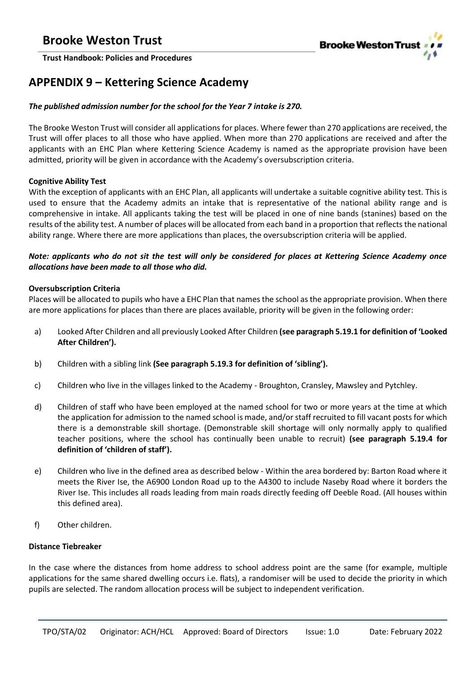

### <span id="page-24-0"></span>**APPENDIX 9 – Kettering Science Academy**

### *The published admission number for the school for the Year 7 intake is 270.*

The Brooke Weston Trust will consider all applications for places. Where fewer than 270 applications are received, the Trust will offer places to all those who have applied. When more than 270 applications are received and after the applicants with an EHC Plan where Kettering Science Academy is named as the appropriate provision have been admitted, priority will be given in accordance with the Academy's oversubscription criteria.

### **Cognitive Ability Test**

With the exception of applicants with an EHC Plan, all applicants will undertake a suitable cognitive ability test. This is used to ensure that the Academy admits an intake that is representative of the national ability range and is comprehensive in intake. All applicants taking the test will be placed in one of nine bands (stanines) based on the results of the ability test. A number of places will be allocated from each band in a proportion that reflects the national ability range. Where there are more applications than places, the oversubscription criteria will be applied.

### *Note: applicants who do not sit the test will only be considered for places at Kettering Science Academy once allocations have been made to all those who did.*

### **Oversubscription Criteria**

Places will be allocated to pupils who have a EHC Plan that names the school as the appropriate provision. When there are more applications for places than there are places available, priority will be given in the following order:

- a) Looked After Children and all previously Looked After Children **(see paragraph 5.19.1 for definition of 'Looked After Children').**
- b) Children with a sibling link **(See paragraph 5.19.3 for definition of 'sibling').**
- c) Children who live in the villages linked to the Academy Broughton, Cransley, Mawsley and Pytchley.
- d) Children of staff who have been employed at the named school for two or more years at the time at which the application for admission to the named school is made, and/or staff recruited to fill vacant posts for which there is a demonstrable skill shortage. (Demonstrable skill shortage will only normally apply to qualified teacher positions, where the school has continually been unable to recruit) **(see paragraph 5.19.4 for definition of 'children of staff').**
- e) Children who live in the defined area as described below Within the area bordered by: Barton Road where it meets the River Ise, the A6900 London Road up to the A4300 to include Naseby Road where it borders the River Ise. This includes all roads leading from main roads directly feeding off Deeble Road. (All houses within this defined area).
- f) Other children.

### **Distance Tiebreaker**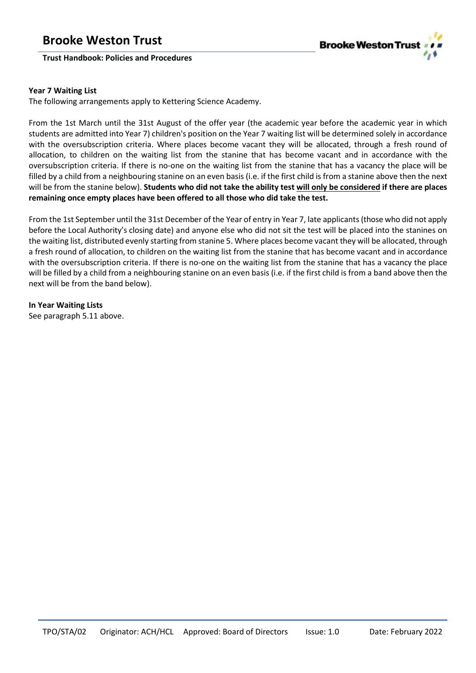### **Trust Handbook: Policies and Procedures**



### **Year 7 Waiting List**

The following arrangements apply to Kettering Science Academy.

From the 1st March until the 31st August of the offer year (the academic year before the academic year in which students are admitted into Year 7) children's position on the Year 7 waiting list will be determined solely in accordance with the oversubscription criteria. Where places become vacant they will be allocated, through a fresh round of allocation, to children on the waiting list from the stanine that has become vacant and in accordance with the oversubscription criteria. If there is no-one on the waiting list from the stanine that has a vacancy the place will be filled by a child from a neighbouring stanine on an even basis (i.e. if the first child is from a stanine above then the next will be from the stanine below). **Students who did not take the ability test will only be considered if there are places remaining once empty places have been offered to all those who did take the test.**

From the 1st September until the 31st December of the Year of entry in Year 7, late applicants(those who did not apply before the Local Authority's closing date) and anyone else who did not sit the test will be placed into the stanines on the waiting list, distributed evenly starting from stanine 5. Where places become vacant they will be allocated, through a fresh round of allocation, to children on the waiting list from the stanine that has become vacant and in accordance with the oversubscription criteria. If there is no-one on the waiting list from the stanine that has a vacancy the place will be filled by a child from a neighbouring stanine on an even basis (i.e. if the first child is from a band above then the next will be from the band below).

**In Year Waiting Lists** See paragraph 5.11 above.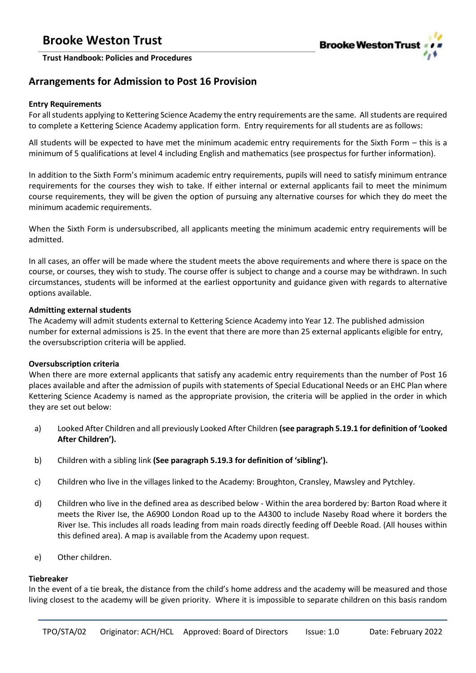

### **Arrangements for Admission to Post 16 Provision**

### **Entry Requirements**

For all students applying to Kettering Science Academy the entry requirements are the same. All students are required to complete a Kettering Science Academy application form. Entry requirements for all students are as follows:

All students will be expected to have met the minimum academic entry requirements for the Sixth Form – this is a minimum of 5 qualifications at level 4 including English and mathematics (see prospectus for further information).

In addition to the Sixth Form's minimum academic entry requirements, pupils will need to satisfy minimum entrance requirements for the courses they wish to take. If either internal or external applicants fail to meet the minimum course requirements, they will be given the option of pursuing any alternative courses for which they do meet the minimum academic requirements.

When the Sixth Form is undersubscribed, all applicants meeting the minimum academic entry requirements will be admitted.

In all cases, an offer will be made where the student meets the above requirements and where there is space on the course, or courses, they wish to study. The course offer is subject to change and a course may be withdrawn. In such circumstances, students will be informed at the earliest opportunity and guidance given with regards to alternative options available.

### **Admitting external students**

The Academy will admit students external to Kettering Science Academy into Year 12. The published admission number for external admissions is 25. In the event that there are more than 25 external applicants eligible for entry, the oversubscription criteria will be applied.

### **Oversubscription criteria**

When there are more external applicants that satisfy any academic entry requirements than the number of Post 16 places available and after the admission of pupils with statements of Special Educational Needs or an EHC Plan where Kettering Science Academy is named as the appropriate provision, the criteria will be applied in the order in which they are set out below:

- a) Looked After Children and all previously Looked After Children **(see paragraph 5.19.1 for definition of 'Looked After Children').**
- b) Children with a sibling link **(See paragraph 5.19.3 for definition of 'sibling').**
- c) Children who live in the villages linked to the Academy: Broughton, Cransley, Mawsley and Pytchley.
- d) Children who live in the defined area as described below Within the area bordered by: Barton Road where it meets the River Ise, the A6900 London Road up to the A4300 to include Naseby Road where it borders the River Ise. This includes all roads leading from main roads directly feeding off Deeble Road. (All houses within this defined area). A map is available from the Academy upon request.
- e) Other children.

### **Tiebreaker**

In the event of a tie break, the distance from the child's home address and the academy will be measured and those living closest to the academy will be given priority. Where it is impossible to separate children on this basis random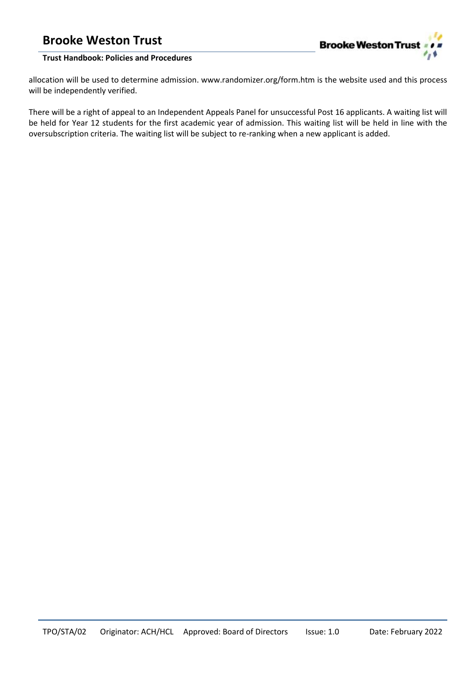

### **Trust Handbook: Policies and Procedures**

allocation will be used to determine admission. www.randomizer.org/form.htm is the website used and this process will be independently verified.

There will be a right of appeal to an Independent Appeals Panel for unsuccessful Post 16 applicants. A waiting list will be held for Year 12 students for the first academic year of admission. This waiting list will be held in line with the oversubscription criteria. The waiting list will be subject to re-ranking when a new applicant is added.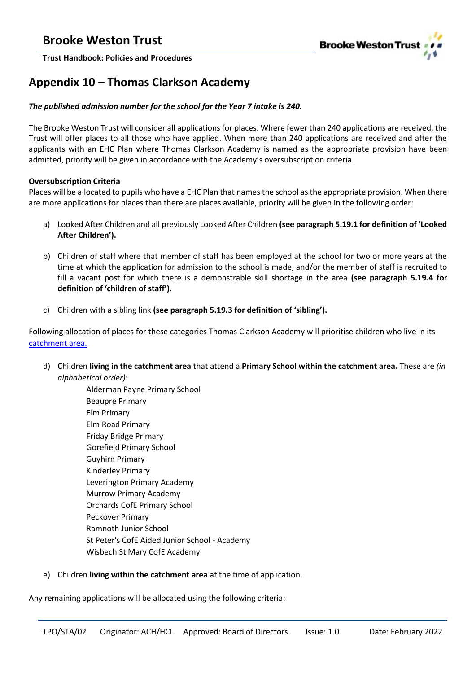

# <span id="page-28-0"></span>**Appendix 10 – Thomas Clarkson Academy**

### *The published admission number for the school for the Year 7 intake is 240.*

The Brooke Weston Trust will consider all applications for places. Where fewer than 240 applications are received, the Trust will offer places to all those who have applied. When more than 240 applications are received and after the applicants with an EHC Plan where Thomas Clarkson Academy is named as the appropriate provision have been admitted, priority will be given in accordance with the Academy's oversubscription criteria.

### **Oversubscription Criteria**

Places will be allocated to pupils who have a EHC Plan that names the school as the appropriate provision. When there are more applications for places than there are places available, priority will be given in the following order:

- a) Looked After Children and all previously Looked After Children **(see paragraph 5.19.1 for definition of 'Looked After Children').**
- b) Children of staff where that member of staff has been employed at the school for two or more years at the time at which the application for admission to the school is made, and/or the member of staff is recruited to fill a vacant post for which there is a demonstrable skill shortage in the area **(see paragraph 5.19.4 for definition of 'children of staff').**
- c) Children with a sibling link **(see paragraph 5.19.3 for definition of 'sibling').**

Following allocation of places for these categories Thomas Clarkson Academy will prioritise children who live in its [catchment area.](https://my.cambridgeshire.gov.uk/?tab=maps&layers=SecondaryCatchments,PrimaryCatchments/br)

d) Children **living in the catchment area** that attend a **Primary School within the catchment area.** These are *(in alphabetical order)*:

Alderman Payne Primary School Beaupre Primary Elm Primary Elm Road Primary Friday Bridge Primary Gorefield Primary School Guyhirn Primary Kinderley Primary Leverington Primary Academy Murrow Primary Academy Orchards CofE Primary School Peckover Primary Ramnoth Junior School St Peter's CofE Aided Junior School - Academy Wisbech St Mary CofE Academy

e) Children **living within the catchment area** at the time of application.

Any remaining applications will be allocated using the following criteria: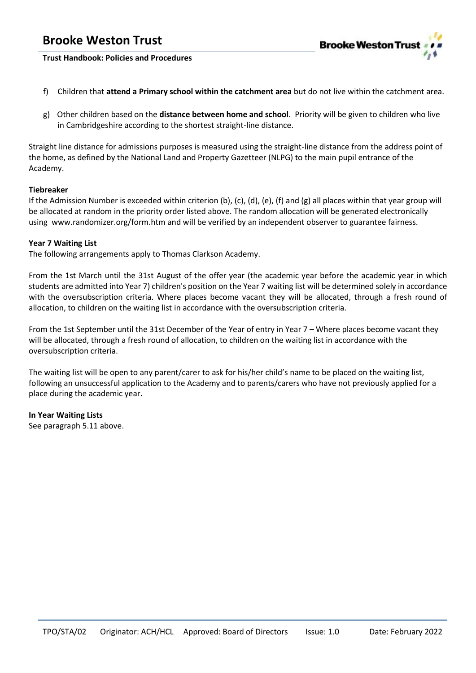

**Trust Handbook: Policies and Procedures**

- f) Children that **attend a Primary school within the catchment area** but do not live within the catchment area.
- g) Other children based on the **distance between home and school**. Priority will be given to children who live in Cambridgeshire according to the shortest straight-line distance.

Straight line distance for admissions purposes is measured using the straight-line distance from the address point of the home, as defined by the National Land and Property Gazetteer (NLPG) to the main pupil entrance of the Academy.

### **Tiebreaker**

If the Admission Number is exceeded within criterion (b), (c), (d), (e), (f) and (g) all places within that year group will be allocated at random in the priority order listed above. The random allocation will be generated electronically using www.randomizer.org/form.htm and will be verified by an independent observer to guarantee fairness.

### **Year 7 Waiting List**

The following arrangements apply to Thomas Clarkson Academy.

From the 1st March until the 31st August of the offer year (the academic year before the academic year in which students are admitted into Year 7) children's position on the Year 7 waiting list will be determined solely in accordance with the oversubscription criteria. Where places become vacant they will be allocated, through a fresh round of allocation, to children on the waiting list in accordance with the oversubscription criteria.

From the 1st September until the 31st December of the Year of entry in Year 7 – Where places become vacant they will be allocated, through a fresh round of allocation, to children on the waiting list in accordance with the oversubscription criteria.

The waiting list will be open to any parent/carer to ask for his/her child's name to be placed on the waiting list, following an unsuccessful application to the Academy and to parents/carers who have not previously applied for a place during the academic year.

**In Year Waiting Lists** See paragraph 5.11 above.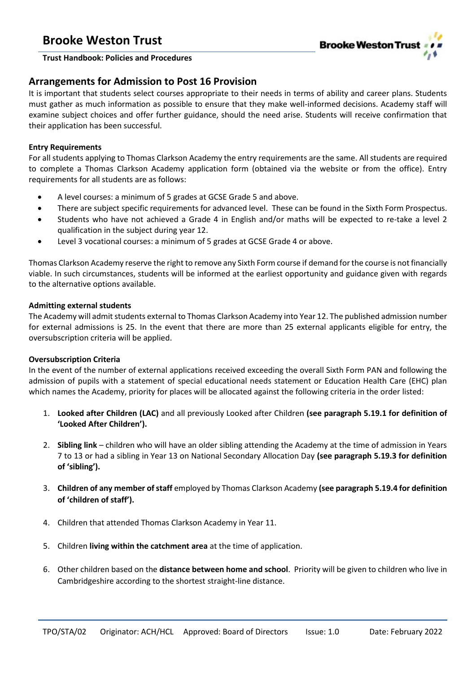

### **Trust Handbook: Policies and Procedures**

### **Arrangements for Admission to Post 16 Provision**

It is important that students select courses appropriate to their needs in terms of ability and career plans. Students must gather as much information as possible to ensure that they make well-informed decisions. Academy staff will examine subject choices and offer further guidance, should the need arise. Students will receive confirmation that their application has been successful.

### **Entry Requirements**

For all students applying to Thomas Clarkson Academy the entry requirements are the same. All students are required to complete a Thomas Clarkson Academy application form (obtained via the website or from the office). Entry requirements for all students are as follows:

- A level courses: a minimum of 5 grades at GCSE Grade 5 and above.
- There are subject specific requirements for advanced level. These can be found in the Sixth Form Prospectus.
- Students who have not achieved a Grade 4 in English and/or maths will be expected to re-take a level 2 qualification in the subject during year 12.
- Level 3 vocational courses: a minimum of 5 grades at GCSE Grade 4 or above.

Thomas Clarkson Academy reserve the right to remove any Sixth Form course if demand for the course is not financially viable. In such circumstances, students will be informed at the earliest opportunity and guidance given with regards to the alternative options available.

### **Admitting external students**

The Academy will admit students external to Thomas Clarkson Academy into Year 12. The published admission number for external admissions is 25. In the event that there are more than 25 external applicants eligible for entry, the oversubscription criteria will be applied.

### **Oversubscription Criteria**

In the event of the number of external applications received exceeding the overall Sixth Form PAN and following the admission of pupils with a statement of special educational needs statement or Education Health Care (EHC) plan which names the Academy, priority for places will be allocated against the following criteria in the order listed:

- 1. **Looked after Children (LAC)** and all previously Looked after Children **(see paragraph 5.19.1 for definition of 'Looked After Children').**
- 2. **Sibling link** children who will have an older sibling attending the Academy at the time of admission in Years 7 to 13 or had a sibling in Year 13 on National Secondary Allocation Day **(see paragraph 5.19.3 for definition of 'sibling').**
- 3. **Children of any member of staff** employed by Thomas Clarkson Academy **(see paragraph 5.19.4 for definition of 'children of staff').**
- 4. Children that attended Thomas Clarkson Academy in Year 11.
- 5. Children **living within the catchment area** at the time of application.
- 6. Other children based on the **distance between home and school**. Priority will be given to children who live in Cambridgeshire according to the shortest straight-line distance.